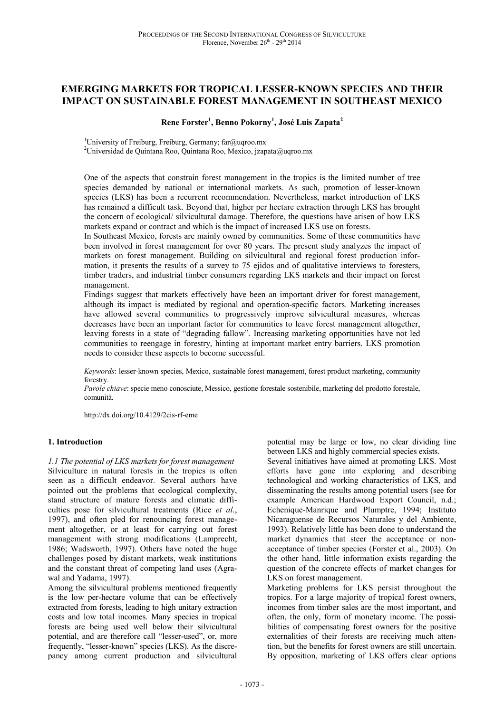# **EMERGING MARKETS FOR TROPICAL LESSER-KNOWN SPECIES AND THEIR IMPACT ON SUSTAINABLE FOREST MANAGEMENT IN SOUTHEAST MEXICO**

## **Rene Forster<sup>1</sup> , Benno Pokorny<sup>1</sup> , José Luis Zapata<sup>2</sup>**

<sup>1</sup>University of Freiburg, Freiburg, Germany; far@uqroo.mx

<sup>2</sup>Universidad de Quintana Roo, Quintana Roo, Mexico, jzapata@uqroo.mx

One of the aspects that constrain forest management in the tropics is the limited number of tree species demanded by national or international markets. As such, promotion of lesser-known species (LKS) has been a recurrent recommendation. Nevertheless, market introduction of LKS has remained a difficult task. Beyond that, higher per hectare extraction through LKS has brought the concern of ecological/ silvicultural damage. Therefore, the questions have arisen of how LKS markets expand or contract and which is the impact of increased LKS use on forests.

In Southeast Mexico, forests are mainly owned by communities. Some of these communities have been involved in forest management for over 80 years. The present study analyzes the impact of markets on forest management. Building on silvicultural and regional forest production information, it presents the results of a survey to 75 ejidos and of qualitative interviews to foresters, timber traders, and industrial timber consumers regarding LKS markets and their impact on forest management.

Findings suggest that markets effectively have been an important driver for forest management, although its impact is mediated by regional and operation-specific factors. Marketing increases have allowed several communities to progressively improve silvicultural measures, whereas decreases have been an important factor for communities to leave forest management altogether, leaving forests in a state of "degrading fallow". Increasing marketing opportunities have not led communities to reengage in forestry, hinting at important market entry barriers. LKS promotion needs to consider these aspects to become successful.

*Keywords*: lesser-known species, Mexico, sustainable forest management, forest product marketing, community forestry.

*Parole chiave*: specie meno conosciute, Messico, gestione forestale sostenibile, marketing del prodotto forestale, comunità.

http://dx.doi.org/10.4129/2cis-rf-eme

# **1. Introduction**

*1.1 The potential of LKS markets for forest management*  Silviculture in natural forests in the tropics is often seen as a difficult endeavor. Several authors have pointed out the problems that ecological complexity, stand structure of mature forests and climatic difficulties pose for silvicultural treatments (Rice *et al*., 1997), and often pled for renouncing forest management altogether, or at least for carrying out forest management with strong modifications (Lamprecht, 1986; Wadsworth, 1997). Others have noted the huge challenges posed by distant markets, weak institutions and the constant threat of competing land uses (Agrawal and Yadama, 1997).

Among the silvicultural problems mentioned frequently is the low per-hectare volume that can be effectively extracted from forests, leading to high unitary extraction costs and low total incomes. Many species in tropical forests are being used well below their silvicultural potential, and are therefore call "lesser-used", or, more frequently, "lesser-known" species (LKS). As the discrepancy among current production and silvicultural

potential may be large or low, no clear dividing line between LKS and highly commercial species exists.

Several initiatives have aimed at promoting LKS. Most efforts have gone into exploring and describing technological and working characteristics of LKS, and disseminating the results among potential users (see for example American Hardwood Export Council, n.d.; Echenique-Manrique and Plumptre, 1994; Instituto Nicaraguense de Recursos Naturales y del Ambiente, 1993). Relatively little has been done to understand the market dynamics that steer the acceptance or nonacceptance of timber species (Forster et al., 2003). On the other hand, little information exists regarding the question of the concrete effects of market changes for LKS on forest management.

Marketing problems for LKS persist throughout the tropics. For a large majority of tropical forest owners, incomes from timber sales are the most important, and often, the only, form of monetary income. The possibilities of compensating forest owners for the positive externalities of their forests are receiving much attention, but the benefits for forest owners are still uncertain. By opposition, marketing of LKS offers clear options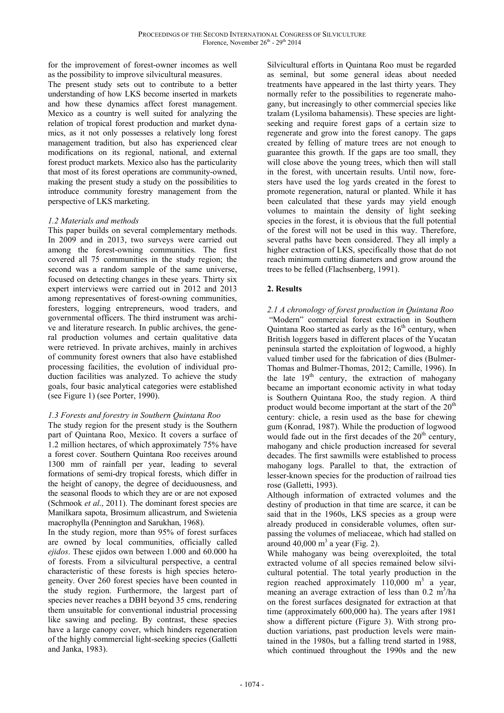for the improvement of forest-owner incomes as well as the possibility to improve silvicultural measures.

The present study sets out to contribute to a better understanding of how LKS become inserted in markets and how these dynamics affect forest management. Mexico as a country is well suited for analyzing the relation of tropical forest production and market dynamics, as it not only possesses a relatively long forest management tradition, but also has experienced clear modifications on its regional, national, and external forest product markets. Mexico also has the particularity that most of its forest operations are community-owned, making the present study a study on the possibilities to introduce community forestry management from the perspective of LKS marketing.

## *1.2 Materials and methods*

This paper builds on several complementary methods. In 2009 and in 2013, two surveys were carried out among the forest-owning communities. The first covered all 75 communities in the study region; the second was a random sample of the same universe, focused on detecting changes in these years. Thirty six expert interviews were carried out in 2012 and 2013 among representatives of forest-owning communities, foresters, logging entrepreneurs, wood traders, and governmental officers. The third instrument was archive and literature research. In public archives, the general production volumes and certain qualitative data were retrieved. In private archives, mainly in archives of community forest owners that also have established processing facilities, the evolution of individual production facilities was analyzed. To achieve the study goals, four basic analytical categories were established (see Figure 1) (see Porter, 1990).

# *1.3 Forests and forestry in Southern Quintana Roo*

The study region for the present study is the Southern part of Quintana Roo, Mexico. It covers a surface of 1.2 million hectares, of which approximately 75% have a forest cover. Southern Quintana Roo receives around 1300 mm of rainfall per year, leading to several formations of semi-dry tropical forests, which differ in the height of canopy, the degree of deciduousness, and the seasonal floods to which they are or are not exposed (Schmook *et al*., 2011). The dominant forest species are Manilkara sapota, Brosimum allicastrum, and Swietenia macrophylla (Pennington and Sarukhan, 1968).

In the study region, more than 95% of forest surfaces are owned by local communities, officially called *ejidos*. These ejidos own between 1.000 and 60.000 ha of forests. From a silvicultural perspective, a central characteristic of these forests is high species heterogeneity. Over 260 forest species have been counted in the study region. Furthermore, the largest part of species never reaches a DBH beyond 35 cms, rendering them unsuitable for conventional industrial processing like sawing and peeling. By contrast, these species have a large canopy cover, which hinders regeneration of the highly commercial light-seeking species (Galletti and Janka, 1983).

Silvicultural efforts in Quintana Roo must be regarded as seminal, but some general ideas about needed treatments have appeared in the last thirty years. They normally refer to the possibilities to regenerate mahogany, but increasingly to other commercial species like tzalam (Lysiloma bahamensis). These species are lightseeking and require forest gaps of a certain size to regenerate and grow into the forest canopy. The gaps created by felling of mature trees are not enough to guarantee this growth. If the gaps are too small, they will close above the young trees, which then will stall in the forest, with uncertain results. Until now, foresters have used the log yards created in the forest to promote regeneration, natural or planted. While it has been calculated that these yards may yield enough volumes to maintain the density of light seeking species in the forest, it is obvious that the full potential of the forest will not be used in this way. Therefore, several paths have been considered. They all imply a higher extraction of LKS, specifically those that do not reach minimum cutting diameters and grow around the trees to be felled (Flachsenberg, 1991).

# **2. Results**

*2.1 A chronology of forest production in Quintana Roo*  "Modern" commercial forest extraction in Southern Quintana Roo started as early as the  $16<sup>th</sup>$  century, when British loggers based in different places of the Yucatan peninsula started the exploitation of logwood, a highly valued timber used for the fabrication of dies (Bulmer-Thomas and Bulmer-Thomas, 2012; Camille, 1996). In the late  $19<sup>th</sup>$  century, the extraction of mahogany became an important economic activity in what today is Southern Quintana Roo, the study region. A third product would become important at the start of the  $20<sup>th</sup>$ century: chicle, a resin used as the base for chewing gum (Konrad, 1987). While the production of logwood would fade out in the first decades of the  $20<sup>th</sup>$  century, mahogany and chicle production increased for several decades. The first sawmills were established to process mahogany logs. Parallel to that, the extraction of lesser-known species for the production of railroad ties rose (Galletti, 1993).

Although information of extracted volumes and the destiny of production in that time are scarce, it can be said that in the 1960s, LKS species as a group were already produced in considerable volumes, often surpassing the volumes of meliaceae, which had stalled on around  $40,000 \text{ m}^3$  a year (Fig. 2).

While mahogany was being overexploited, the total extracted volume of all species remained below silvicultural potential. The total yearly production in the region reached approximately  $110,000$  m<sup>3</sup> a year, meaning an average extraction of less than  $0.2 \text{ m}^3/\text{ha}$ on the forest surfaces designated for extraction at that time (approximately 600,000 ha). The years after 1981 show a different picture (Figure 3). With strong production variations, past production levels were maintained in the 1980s, but a falling trend started in 1988, which continued throughout the 1990s and the new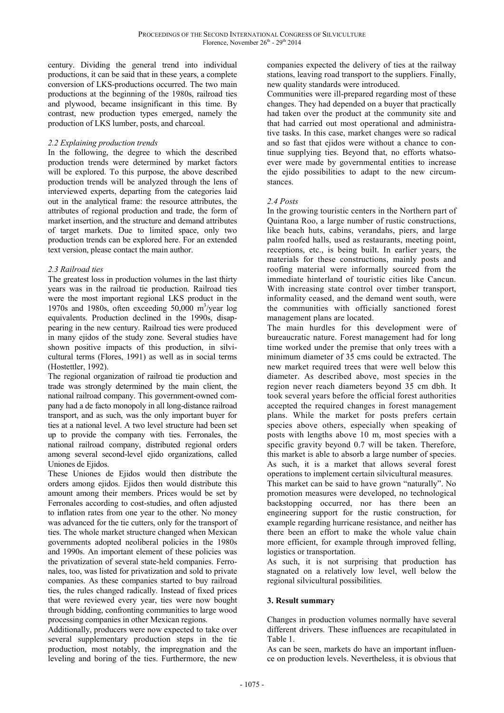century. Dividing the general trend into individual productions, it can be said that in these years, a complete conversion of LKS-productions occurred. The two main productions at the beginning of the 1980s, railroad ties and plywood, became insignificant in this time. By contrast, new production types emerged, namely the production of LKS lumber, posts, and charcoal.

### *2.2 Explaining production trends*

In the following, the degree to which the described production trends were determined by market factors will be explored. To this purpose, the above described production trends will be analyzed through the lens of interviewed experts, departing from the categories laid out in the analytical frame: the resource attributes, the attributes of regional production and trade, the form of market insertion, and the structure and demand attributes of target markets. Due to limited space, only two production trends can be explored here. For an extended text version, please contact the main author.

## *2.3 Railroad ties*

The greatest loss in production volumes in the last thirty years was in the railroad tie production. Railroad ties were the most important regional LKS product in the 1970s and 1980s, often exceeding  $50,000$  m<sup>3</sup>/year log equivalents. Production declined in the 1990s, disappearing in the new century. Railroad ties were produced in many ejidos of the study zone. Several studies have shown positive impacts of this production, in silvicultural terms (Flores, 1991) as well as in social terms (Hostettler, 1992).

The regional organization of railroad tie production and trade was strongly determined by the main client, the national railroad company. This government-owned company had a de facto monopoly in all long-distance railroad transport, and as such, was the only important buyer for ties at a national level. A two level structure had been set up to provide the company with ties. Ferronales, the national railroad company, distributed regional orders among several second-level ejido organizations, called Uniones de Ejidos.

These Uniones de Ejidos would then distribute the orders among ejidos. Ejidos then would distribute this amount among their members. Prices would be set by Ferronales according to cost-studies, and often adjusted to inflation rates from one year to the other. No money was advanced for the tie cutters, only for the transport of ties. The whole market structure changed when Mexican governments adopted neoliberal policies in the 1980s and 1990s. An important element of these policies was the privatization of several state-held companies. Ferronales, too, was listed for privatization and sold to private companies. As these companies started to buy railroad ties, the rules changed radically. Instead of fixed prices that were reviewed every year, ties were now bought through bidding, confronting communities to large wood processing companies in other Mexican regions.

Additionally, producers were now expected to take over several supplementary production steps in the tie production, most notably, the impregnation and the leveling and boring of the ties. Furthermore, the new companies expected the delivery of ties at the railway stations, leaving road transport to the suppliers. Finally, new quality standards were introduced.

Communities were ill-prepared regarding most of these changes. They had depended on a buyer that practically had taken over the product at the community site and that had carried out most operational and administrative tasks. In this case, market changes were so radical and so fast that ejidos were without a chance to continue supplying ties. Beyond that, no efforts whatsoever were made by governmental entities to increase the ejido possibilities to adapt to the new circumstances.

## *2.4 Posts*

In the growing touristic centers in the Northern part of Quintana Roo, a large number of rustic constructions, like beach huts, cabins, verandahs, piers, and large palm roofed halls, used as restaurants, meeting point, receptions, etc., is being built. In earlier years, the materials for these constructions, mainly posts and roofing material were informally sourced from the immediate hinterland of touristic cities like Cancun. With increasing state control over timber transport, informality ceased, and the demand went south, were the communities with officially sanctioned forest management plans are located.

The main hurdles for this development were of bureaucratic nature. Forest management had for long time worked under the premise that only trees with a minimum diameter of 35 cms could be extracted. The new market required trees that were well below this diameter. As described above, most species in the region never reach diameters beyond 35 cm dbh. It took several years before the official forest authorities accepted the required changes in forest management plans. While the market for posts prefers certain species above others, especially when speaking of posts with lengths above 10 m, most species with a specific gravity beyond 0.7 will be taken. Therefore, this market is able to absorb a large number of species. As such, it is a market that allows several forest operations to implement certain silvicultural measures.

This market can be said to have grown "naturally". No promotion measures were developed, no technological backstopping occurred, nor has there been an engineering support for the rustic construction, for example regarding hurricane resistance, and neither has there been an effort to make the whole value chain more efficient, for example through improved felling, logistics or transportation.

As such, it is not surprising that production has stagnated on a relatively low level, well below the regional silvicultural possibilities.

# **3. Result summary**

Changes in production volumes normally have several different drivers. These influences are recapitulated in Table 1.

As can be seen, markets do have an important influence on production levels. Nevertheless, it is obvious that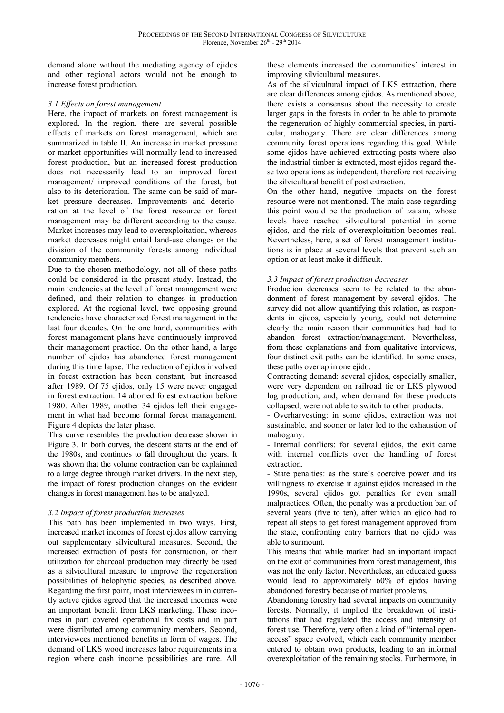demand alone without the mediating agency of ejidos and other regional actors would not be enough to increase forest production.

### *3.1 Effects on forest management*

Here, the impact of markets on forest management is explored. In the region, there are several possible effects of markets on forest management, which are summarized in table II. An increase in market pressure or market opportunities will normally lead to increased forest production, but an increased forest production does not necessarily lead to an improved forest management/ improved conditions of the forest, but also to its deterioration. The same can be said of market pressure decreases. Improvements and deterioration at the level of the forest resource or forest management may be different according to the cause. Market increases may lead to overexploitation, whereas market decreases might entail land-use changes or the division of the community forests among individual community members.

Due to the chosen methodology, not all of these paths could be considered in the present study. Instead, the main tendencies at the level of forest management were defined, and their relation to changes in production explored. At the regional level, two opposing ground tendencies have characterized forest management in the last four decades. On the one hand, communities with forest management plans have continuously improved their management practice. On the other hand, a large number of ejidos has abandoned forest management during this time lapse. The reduction of ejidos involved in forest extraction has been constant, but increased after 1989. Of 75 ejidos, only 15 were never engaged in forest extraction. 14 aborted forest extraction before 1980. After 1989, another 34 ejidos left their engagement in what had become formal forest management. Figure 4 depicts the later phase.

This curve resembles the production decrease shown in Figure 3. In both curves, the descent starts at the end of the 1980s, and continues to fall throughout the years. It was shown that the volume contraction can be explainned to a large degree through market drivers. In the next step, the impact of forest production changes on the evident changes in forest management has to be analyzed.

#### *3.2 Impact of forest production increases*

This path has been implemented in two ways. First, increased market incomes of forest ejidos allow carrying out supplementary silvicultural measures. Second, the increased extraction of posts for construction, or their utilization for charcoal production may directly be used as a silvicultural measure to improve the regeneration possibilities of helophytic species, as described above. Regarding the first point, most interviewees in in currently active ejidos agreed that the increased incomes were an important benefit from LKS marketing. These incomes in part covered operational fix costs and in part were distributed among community members. Second, interviewees mentioned benefits in form of wages. The demand of LKS wood increases labor requirements in a region where cash income possibilities are rare. All

these elements increased the communities´ interest in improving silvicultural measures.

As of the silvicultural impact of LKS extraction, there are clear differences among ejidos. As mentioned above, there exists a consensus about the necessity to create larger gaps in the forests in order to be able to promote the regeneration of highly commercial species, in particular, mahogany. There are clear differences among community forest operations regarding this goal. While some ejidos have achieved extracting posts where also the industrial timber is extracted, most ejidos regard these two operations as independent, therefore not receiving the silvicultural benefit of post extraction.

On the other hand, negative impacts on the forest resource were not mentioned. The main case regarding this point would be the production of tzalam, whose levels have reached silvicultural potential in some ejidos, and the risk of overexploitation becomes real. Nevertheless, here, a set of forest management institutions is in place at several levels that prevent such an option or at least make it difficult.

# *3.3 Impact of forest production decreases*

Production decreases seem to be related to the abandonment of forest management by several ejidos. The survey did not allow quantifying this relation, as respondents in ejidos, especially young, could not determine clearly the main reason their communities had had to abandon forest extraction/management. Nevertheless, from these explanations and from qualitative interviews, four distinct exit paths can be identified. In some cases, these paths overlap in one ejido.

Contracting demand: several ejidos, especially smaller, were very dependent on railroad tie or LKS plywood log production, and, when demand for these products collapsed, were not able to switch to other products.

- Overharvesting: in some ejidos, extraction was not sustainable, and sooner or later led to the exhaustion of mahogany.

- Internal conflicts: for several ejidos, the exit came with internal conflicts over the handling of forest extraction.

- State penalties: as the state´s coercive power and its willingness to exercise it against ejidos increased in the 1990s, several ejidos got penalties for even small malpractices. Often, the penalty was a production ban of several years (five to ten), after which an ejido had to repeat all steps to get forest management approved from the state, confronting entry barriers that no ejido was able to surmount.

This means that while market had an important impact on the exit of communities from forest management, this was not the only factor. Nevertheless, an educated guess would lead to approximately 60% of ejidos having abandoned forestry because of market problems.

Abandoning forestry had several impacts on community forests. Normally, it implied the breakdown of institutions that had regulated the access and intensity of forest use. Therefore, very often a kind of "internal openaccess" space evolved, which each community member entered to obtain own products, leading to an informal overexploitation of the remaining stocks. Furthermore, in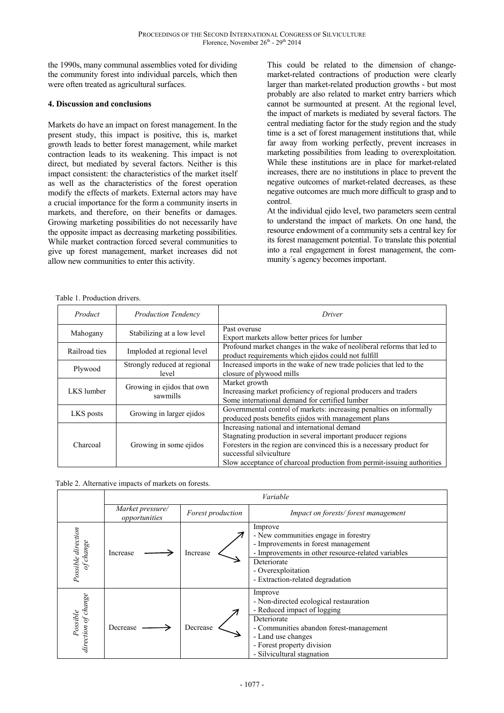the 1990s, many communal assemblies voted for dividing the community forest into individual parcels, which then were often treated as agricultural surfaces.

#### **4. Discussion and conclusions**

Markets do have an impact on forest management. In the present study, this impact is positive, this is, market growth leads to better forest management, while market contraction leads to its weakening. This impact is not direct, but mediated by several factors. Neither is this impact consistent: the characteristics of the market itself as well as the characteristics of the forest operation modify the effects of markets. External actors may have a crucial importance for the form a community inserts in markets, and therefore, on their benefits or damages. Growing marketing possibilities do not necessarily have the opposite impact as decreasing marketing possibilities. While market contraction forced several communities to give up forest management, market increases did not allow new communities to enter this activity.

This could be related to the dimension of changemarket-related contractions of production were clearly larger than market-related production growths - but most probably are also related to market entry barriers which cannot be surmounted at present. At the regional level, the impact of markets is mediated by several factors. The central mediating factor for the study region and the study time is a set of forest management institutions that, while far away from working perfectly, prevent increases in marketing possibilities from leading to overexploitation. While these institutions are in place for market-related increases, there are no institutions in place to prevent the negative outcomes of market-related decreases, as these negative outcomes are much more difficult to grasp and to control.

At the individual ejido level, two parameters seem central to understand the impact of markets. On one hand, the resource endowment of a community sets a central key for its forest management potential. To translate this potential into a real engagement in forest management, the community´s agency becomes important.

Table 1. Production drivers.

| Product       | <b>Production Tendency</b>             | Driver                                                                                                                                                                                                                                                                                    |  |
|---------------|----------------------------------------|-------------------------------------------------------------------------------------------------------------------------------------------------------------------------------------------------------------------------------------------------------------------------------------------|--|
| Mahogany      | Stabilizing at a low level             | Past overuse<br>Export markets allow better prices for lumber                                                                                                                                                                                                                             |  |
| Railroad ties | Imploded at regional level             | Profound market changes in the wake of neoliberal reforms that led to<br>product requirements which ejidos could not fulfill                                                                                                                                                              |  |
| Plywood       | Strongly reduced at regional<br>level  | Increased imports in the wake of new trade policies that led to the<br>closure of plywood mills                                                                                                                                                                                           |  |
| LKS lumber    | Growing in ejidos that own<br>sawmills | Market growth<br>Increasing market proficiency of regional producers and traders<br>Some international demand for certified lumber                                                                                                                                                        |  |
| LKS posts     | Growing in larger ejidos               | Governmental control of markets: increasing penalties on informally<br>produced posts benefits ejidos with management plans                                                                                                                                                               |  |
| Charcoal      | Growing in some ejidos                 | Increasing national and international demand<br>Stagnating production in several important producer regions<br>Foresters in the region are convinced this is a necessary product for<br>successful silviculture<br>Slow acceptance of charcoal production from permit-issuing authorities |  |

| Table 2. Alternative impacts of markets on forests. |  |  |
|-----------------------------------------------------|--|--|
|                                                     |  |  |

|                                              | Variable                          |                   |                                                                                                                                                                                                                              |  |
|----------------------------------------------|-----------------------------------|-------------------|------------------------------------------------------------------------------------------------------------------------------------------------------------------------------------------------------------------------------|--|
|                                              | Market pressure/<br>opportunities | Forest production | Impact on forests/forest management                                                                                                                                                                                          |  |
| Possible direction<br>change                 | Increase                          | Increase          | Improve<br>- New communities engage in forestry<br>- Improvements in forest management<br>- Improvements in other resource-related variables<br>Deteriorate<br>- Overexploitation<br>- Extraction-related degradation        |  |
| direction of change<br>$_{\textit{OSSible}}$ | Decrease                          | Decrease          | Improve<br>- Non-directed ecological restauration<br>- Reduced impact of logging<br>Deteriorate<br>- Communities abandon forest-management<br>- Land use changes<br>- Forest property division<br>- Silvicultural stagnation |  |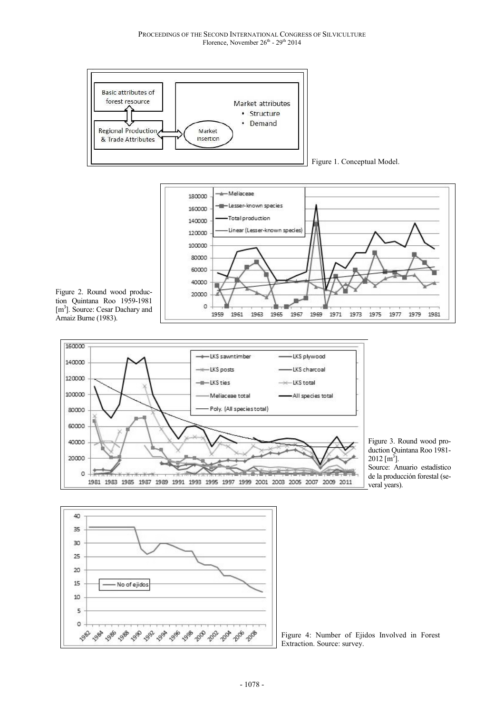

Figure 4: Number of Ejidos Involved in Forest Extraction. Source: survey.

2008

 $10$ 5  $\circ$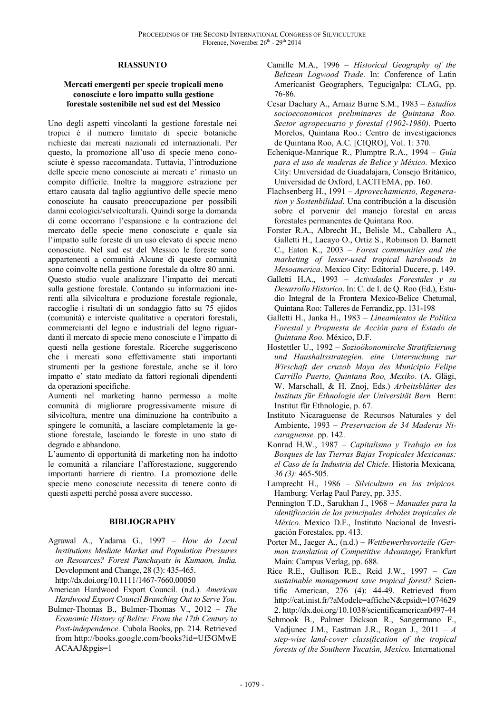#### **RIASSUNTO**

### **Mercati emergenti per specie tropicali meno conosciute e loro impatto sulla gestione forestale sostenibile nel sud est del Messico**

Uno degli aspetti vincolanti la gestione forestale nei tropici è il numero limitato di specie botaniche richieste dai mercati nazionali ed internazionali. Per questo, la promozione all'uso di specie meno conosciute è spesso raccomandata. Tuttavia, l'introduzione delle specie meno conosciute ai mercati e' rimasto un compito difficile. Inoltre la maggiore estrazione per ettaro causata dal taglio aggiuntivo delle specie meno conosciute ha causato preoccupazione per possibili danni ecologici/selvicolturali. Quindi sorge la domanda di come occorrano l'espansione e la contrazione del mercato delle specie meno conosciute e quale sia l'impatto sulle foreste di un uso elevato di specie meno conosciute. Nel sud est del Messico le foreste sono appartenenti a comunità Alcune di queste comunità sono coinvolte nella gestione forestale da oltre 80 anni. Questo studio vuole analizzare l'impatto dei mercati sulla gestione forestale. Contando su informazioni inerenti alla silvicoltura e produzione forestale regionale, raccoglie i risultati di un sondaggio fatto su 75 ejidos (comunità) e interviste qualitative a operatori forestali, commercianti del legno e industriali del legno riguardanti il mercato di specie meno conosciute e l'impatto di questi nella gestione forestale. Ricerche suggeriscono che i mercati sono effettivamente stati importanti strumenti per la gestione forestale, anche se il loro impatto e' stato mediato da fattori regionali dipendenti da operazioni specifiche.

Aumenti nel marketing hanno permesso a molte comunità di migliorare progressivamente misure di silvicoltura, mentre una diminuzione ha contribuito a spingere le comunità, a lasciare completamente la gestione forestale, lasciando le foreste in uno stato di degrado e abbandono.

L'aumento di opportunità di marketing non ha indotto le comunità a rilanciare l'afforestazione, suggerendo importanti barriere di rientro. La promozione delle specie meno conosciute necessita di tenere conto di questi aspetti perché possa avere successo.

#### **BIBLIOGRAPHY**

Agrawal A., Yadama G., 1997 – *How do Local Institutions Mediate Market and Population Pressures on Resources? Forest Panchayats in Kumaon, India.* Development and Change, 28 (3): 435-465. http://dx.doi.org/10.1111/1467-7660.00050

American Hardwood Export Council. (n.d.). *American Hardwood Export Council Branching Out to Serve You*.

Bulmer-Thomas B., Bulmer-Thomas V., 2012 – *The Economic History of Belize: From the 17th Century to Post-independence*. Cubola Books, pp. 214. Retrieved from http://books.google.com/books?id=Uf5GMwE ACAAJ&pgis=1

- Camille M.A., 1996 *Historical Geography of the Belizean Logwood Trade*. In: *C*onference of Latin Americanist Geographers, Tegucigalpa: CLAG, pp. 76-86.
- Cesar Dachary A., Arnaiz Burne S.M., 1983 *Estudios socioeconomicos preliminares de Quintana Roo. Sector agropecuario y forestal (1902-1980)*. Puerto Morelos, Quintana Roo.: Centro de investigaciones de Quintana Roo, A.C. [CIQRO], Vol. 1: 370.
- Echenique-Manrique R., Plumptre R.A., 1994 *Guía para el uso de maderas de Belice y México.* Mexico City: Universidad de Guadalajara, Consejo Británico, Universidad de Oxford, LACITEMA, pp. 160.
- Flachsenberg H., 1991 *Aprovechamiento, Regeneration y Sostenbilidad*. Una contribución a la discusión sobre el porvenir del manejo forestal en areas forestales permanentes de Quintana Roo.
- Forster R.A., Albrecht H., Belisle M., Caballero A., Galletti H., Lacayo O., Ortiz S., Robinson D. Barnett C., Eaton K., 2003 – *Forest communities and the marketing of lesser-used tropical hardwoods in Mesoamerica*. Mexico City: Editorial Ducere, p. 149.
- Galletti H.A., 1993 *Actividades Forestales y su Desarrollo Historico*. In: C. de I. de Q. Roo (Ed.), Estudio Integral de la Frontera Mexico-Belice Chetumal, Quintana Roo: Talleres de Ferrandiz, pp. 131-198
- Galletti H., Janka H., 1983 *Lineamientos de Política Forestal y Propuesta de Acción para el Estado de Quintana Roo.* México, D.F.
- Hostettler U., 1992 *Sozioökonomische Stratifizierung und Haushaltsstrategien. eine Untersuchung zur Wirschaft der cruzob Maya des Municipio Felipe Carrillo Puerto, Quintana Roo, Mexiko*. (A. Glägi, W. Marschall, & H. Znoj, Eds.) *Arbeitsblätter des Instituts für Ethnologie der Universität Bern* Bern: Institut für Ethnologie, p. 67.
- Instituto Nicaraguense de Recursos Naturales y del Ambiente, 1993 – *Preservacion de 34 Maderas Nicaraguense.* pp. 142.
- Konrad H.W., 1987 *Capitalismo y Trabajo en los Bosques de las Tierras Bajas Tropicales Mexicanas: el Caso de la Industria del Chicle*. Historia Mexicana*, 36 (3):* 465-505.
- Lamprecht H., 1986 *Silvicultura en los trópicos.* Hamburg: Verlag Paul Parey, pp. 335.
- Pennington T.D., Sarukhan J., 1968 *Manuales para la identificación de los principales Arboles tropicales de México.* Mexico D.F., Instituto Nacional de Investigación Forestales, pp. 413.
- Porter M., Jaeger A., (n.d.) *Wettbewerbsvorteile (German translation of Competitive Advantage)* Frankfurt Main: Campus Verlag, pp. 688.
- Rice R.E., Gullison R.E., Reid J.W., 1997 *Can sustainable management save tropical forest?* Scientific American, 276 (4): 44-49. Retrieved from http://cat.inist.fr/?aModele=afficheN&cpsidt=1074629 2. http://dx.doi.org/10.1038/scientificamerican0497-44
- Schmook B., Palmer Dickson R., Sangermano F., Vadjunec J.M., Eastman J.R., Rogan J., 2011 – *A step-wise land-cover classification of the tropical forests of the Southern Yucatán, Mexico.* International